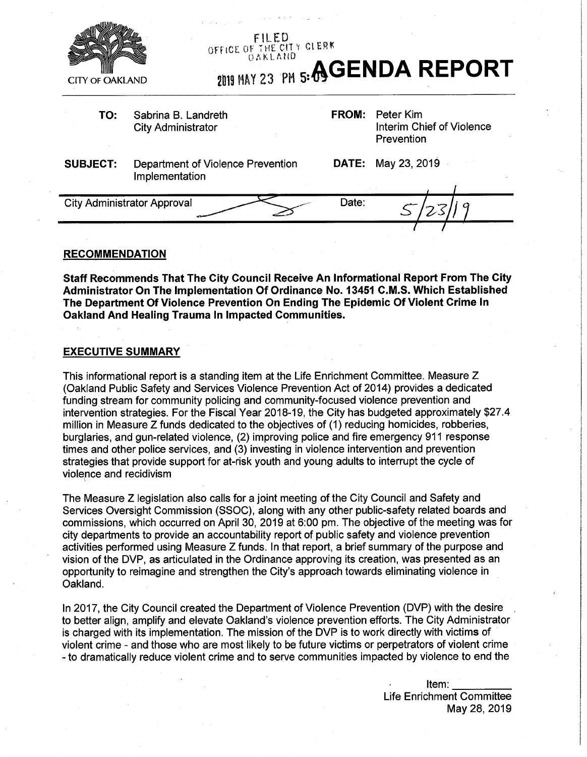

# **FILED**<br>OFFICE OF THE CITY GLEBK

**OAKLAND** 23 PM **5: AGENDA REPORT** 

**TO:** Sabrina B. Landreth City Administrator

**FROM:** Peter Kim Interim Chief of Violence Prevention

**SUBJECT:** Department of Violence Prevention **DATE:** May 23, 2019 Implementation

City Administrator Approval Date: *sr/23/19* 

#### **RECOMMENDATION**

**Staff Recommends That The City Council Receive An Informational Report From The City Administrator On The Implementation Of Ordinance No. 13451 C.M.S. Which Established The Department Of Violence Prevention On Ending The Epidemic Of Violent Crime In Oakland And Healing Trauma In Impacted Communities.**

## **EXECUTIVE SUMMARY**

This informational report is a standing item at the Life Enrichment Committee. Measure Z (Oakland Public Safety and Services Violence Prevention Act of 2014) provides a dedicated funding stream for community policing and community-focused violence prevention and intervention strategies. For the Fiscal Year 2018-19, the City has budgeted approximately \$27.4 million in Measure Z funds dedicated to the objectives of (1) reducing homicides, robberies, burglaries, and gun-related violence, (2) improving police and fire emergency 911 response times and other police services, and (3) investing in violence intervention and prevention strategies that provide support for at-risk youth and young adults to interrupt the cycle of violence and recidivism

The Measure Z legislation also calls for a joint meeting of the City Council and Safety and Services Oversight Commission (SSOC), along with any other public-safety related boards and commissions, which occurred on April 30, 2019 at 6:00 pm. The objective of the meeting was for city departments to provide an accountability report of public safety and violence prevention activities performed using Measure Z funds. In that report, a brief summary of the purpose and vision of the DVP, as articulated in the Ordinance approving its creation, was presented as an opportunity to reimagine and strengthen the City's approach towards eliminating violence in Oakland.

In 2017, the City Council created the Department of Violence Prevention (DVP) with the desire to better align, amplify and elevate Oakland's violence prevention efforts. The City Administrator is charged with its implementation. The mission of the DVP is to work directly with victims of violent crime - and those who are most likely to be future victims or perpetrators of violent crime - to dramatically reduce violent crime and to serve communities impacted by violence to end the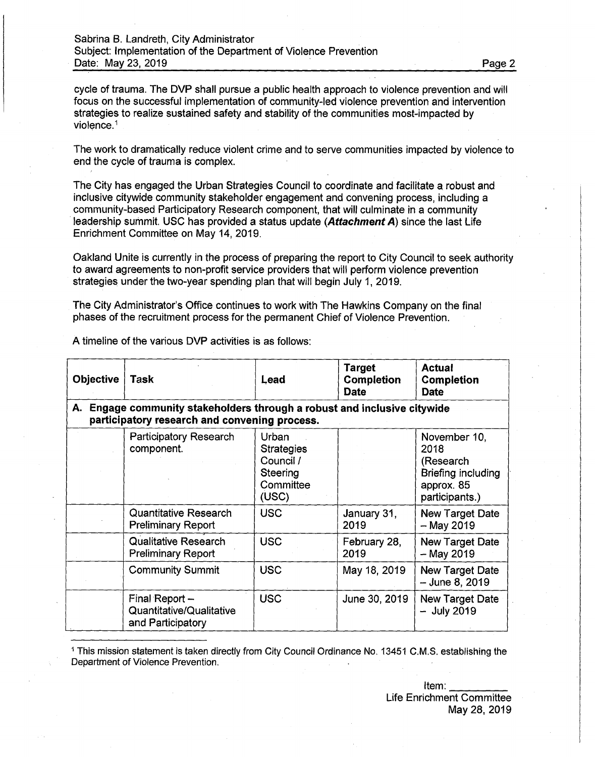cycle of trauma. The DVP shall pursue a public health approach to violence prevention and will focus on the successful implementation of community-led violence prevention and intervention strategies to realize sustained safety and stability of the communities most-impacted by violence.<sup>1</sup>

The work to dramatically reduce violent crime and to serve communities impacted by violence to end the cycle of trauma is complex.

The City has engaged the Urban Strategies Council to coordinate and facilitate a robust and inclusive citywide community stakeholder engagement and convening process, including a community-based Participatory Research component, that will culminate in a community leadership summit. USC has provided a status update (*Attachment A)* since the last Life Enrichment Committee on May 14, 2019.

Oakland Unite is currently in the process of preparing the report to City Council to seek authority to award agreements to non-profit service providers that will perform violence prevention strategies under the two-year spending plan that will begin July 1, 2019.

The City Administrator's Office continues to work with The Hawkins Company on the final phases of the recruitment process for the permanent Chief of Violence Prevention.

| <b>Objective</b>                                                                                                          | <b>Task</b>                                                     | Lead                                                                      | <b>Target</b><br><b>Completion</b><br><b>Date</b> | <b>Actual</b><br>Completion<br><b>Date</b>                                              |  |
|---------------------------------------------------------------------------------------------------------------------------|-----------------------------------------------------------------|---------------------------------------------------------------------------|---------------------------------------------------|-----------------------------------------------------------------------------------------|--|
| A. Engage community stakeholders through a robust and inclusive citywide<br>participatory research and convening process. |                                                                 |                                                                           |                                                   |                                                                                         |  |
|                                                                                                                           | <b>Participatory Research</b><br>component.                     | Urban<br><b>Strategies</b><br>Council /<br>Steering<br>Committee<br>(USC) |                                                   | November 10,<br>2018<br>(Research<br>Briefing including<br>approx. 85<br>participants.) |  |
|                                                                                                                           | <b>Quantitative Research</b><br><b>Preliminary Report</b>       | <b>USC</b>                                                                | January 31,<br>2019                               | <b>New Target Date</b><br>$-May 2019$                                                   |  |
|                                                                                                                           | <b>Qualitative Research</b><br><b>Preliminary Report</b>        | <b>USC</b>                                                                | February 28,<br>2019                              | New Target Date<br>$-$ May 2019                                                         |  |
|                                                                                                                           | <b>Community Summit</b>                                         | <b>USC</b>                                                                | May 18, 2019                                      | <b>New Target Date</b><br>$-$ June 8, 2019                                              |  |
|                                                                                                                           | Final Report -<br>Quantitative/Qualitative<br>and Participatory | <b>USC</b>                                                                | June 30, 2019                                     | New Target Date<br>$-$ July 2019                                                        |  |

A timeline of the various DVP activities is as follows:

<sup>1</sup> This mission statement is taken directly from City Council Ordinance No. 13451 C.M.S. establishing the Department of Violence Prevention.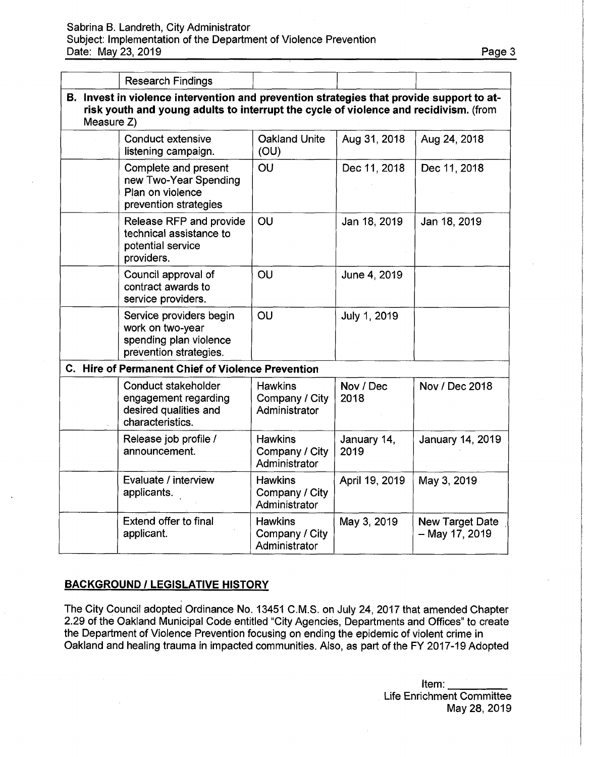## Sabrina B. Landreth, City Administrator Subject: Implementation of the Department of Violence Prevention Date: May 23, 2019 **Date:** May 23, 2019

|                                                                                                                                                                                                | <b>Research Findings</b>                                                                        |                                                   |                     |                                   |
|------------------------------------------------------------------------------------------------------------------------------------------------------------------------------------------------|-------------------------------------------------------------------------------------------------|---------------------------------------------------|---------------------|-----------------------------------|
| B. Invest in violence intervention and prevention strategies that provide support to at-<br>risk youth and young adults to interrupt the cycle of violence and recidivism. (from<br>Measure Z) |                                                                                                 |                                                   |                     |                                   |
|                                                                                                                                                                                                | <b>Conduct extensive</b><br>listening campaign.                                                 | Oakland Unite<br>(OU)                             | Aug 31, 2018        | Aug 24, 2018                      |
|                                                                                                                                                                                                | Complete and present<br>new Two-Year Spending<br>Plan on violence<br>prevention strategies      | OU                                                | Dec 11, 2018        | Dec 11, 2018                      |
|                                                                                                                                                                                                | Release RFP and provide<br>technical assistance to<br>potential service<br>providers.           | OU                                                | Jan 18, 2019        | Jan 18, 2019                      |
|                                                                                                                                                                                                | Council approval of<br>contract awards to<br>service providers.                                 | OU                                                | June 4, 2019        |                                   |
|                                                                                                                                                                                                | Service providers begin<br>work on two-year<br>spending plan violence<br>prevention strategies. | OU                                                | July 1, 2019        |                                   |
|                                                                                                                                                                                                | C. Hire of Permanent Chief of Violence Prevention                                               |                                                   |                     |                                   |
|                                                                                                                                                                                                | Conduct stakeholder<br>engagement regarding<br>desired qualities and<br>characteristics.        | <b>Hawkins</b><br>Company / City<br>Administrator | Nov / Dec<br>2018   | Nov / Dec 2018                    |
|                                                                                                                                                                                                | Release job profile /<br>announcement.                                                          | <b>Hawkins</b><br>Company / City<br>Administrator | January 14,<br>2019 | January 14, 2019                  |
|                                                                                                                                                                                                | Evaluate / interview<br>applicants.                                                             | <b>Hawkins</b><br>Company / City<br>Administrator | April 19, 2019      | May 3, 2019                       |
|                                                                                                                                                                                                | Extend offer to final<br>applicant.                                                             | <b>Hawkins</b><br>Company / City<br>Administrator | May 3, 2019         | New Target Date<br>- May 17, 2019 |

## **BACKGROUND / LEGISLATIVE HISTORY**

The City Council adopted Ordinance No. 13451 C.M.S. on July 24, 2017 that amended Chapter 2.29 of the Oakland Municipal Code entitled "City Agencies, Departments and Offices" to create the Department of Violence Prevention focusing on ending the epidemic of violent crime in Oakland and healing trauma in impacted communities. Also, as part of the FY 2017-19 Adopted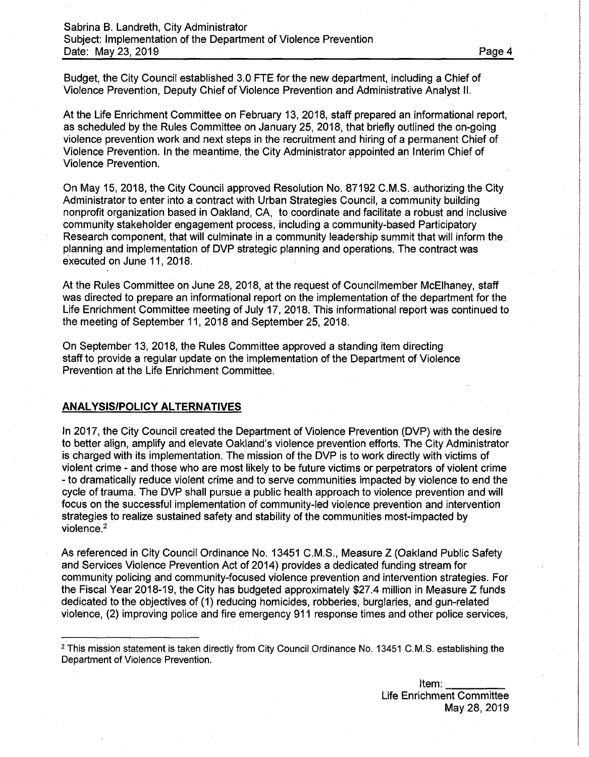Budget, the City Council established 3.0 FTE for the new department, including a Chief of Violence Prevention, Deputy Chief of Violence Prevention and Administrative Analyst II.

At the Life Enrichment Committee on February 13, 2018, staff prepared an informational report, as scheduled by the Rules Committee on January 25, 2018, that briefly outlined the on-going violence prevention work and next steps in the recruitment and hiring of a permanent Chief of Violence Prevention. In the meantime, the City Administrator appointed an Interim Chief of Violence Prevention.

On May 15, 2018, the City Council approved Resolution No. 87192 C.M.S. authorizing the City Administrator to enter into a contract with Urban Strategies Council, a community building nonprofit organization based in Oakland, CA, to coordinate and facilitate a robust and inclusive community stakeholder engagement process, including a community-based Participatory Research component, that will culminate in a community leadership summit that will inform the planning and implementation of DVP strategic planning and operations. The contract was executed on June 11, 2018.

At the Rules Committee on June 28, 2018, at the request of Councilmember McElhaney, staff was directed to prepare an informational report on the implementation of the department for the Life Enrichment Committee meeting of July 17, 2018. This informational report was continued to the meeting of September 11, 2018 and September 25, 2018.

On September 13, 2018, the Rules Committee approved a standing item directing staff to provide a regular update on the implementation of the Department of Violence Prevention at the Life Enrichment Committee.

#### **ANALYSIS/POLICY ALTERNATIVES**

In 2017, the City Council created the Department of Violence Prevention (DVP) with the desire to better align, amplify and elevate Oakland's violence prevention efforts. The City Administrator is charged with its implementation. The mission of the DVP is to work directly with victims of violent crime - and those who are most likely to be future victims or perpetrators of violent crime - to dramatically reduce violent crime and to serve communities impacted by violence to end the cycle of trauma. The DVP shall pursue a public health approach to violence prevention and will focus on the successful implementation of community-led violence prevention and intervention strategies to realize sustained safety and stability of the communities most-impacted by violence.<sup>2</sup>

As referenced in City Council Ordinance No. 13451 C.M.S., Measure Z (Oakland Public Safety and Services Violence Prevention Act of 2014) provides a dedicated funding stream for community policing and community-focused violence prevention and intervention strategies. For the Fiscal Year 2018-19, the City has budgeted approximately \$27.4 million in Measure Z funds dedicated to the objectives of (1) reducing homicides, robberies, burglaries, and gun-related violence, (2) improving police and fire emergency 911 response times and other police services,

<sup>&</sup>lt;sup>2</sup> This mission statement is taken directly from City Council Ordinance No. 13451 C.M.S. establishing the Department of Violence Prevention.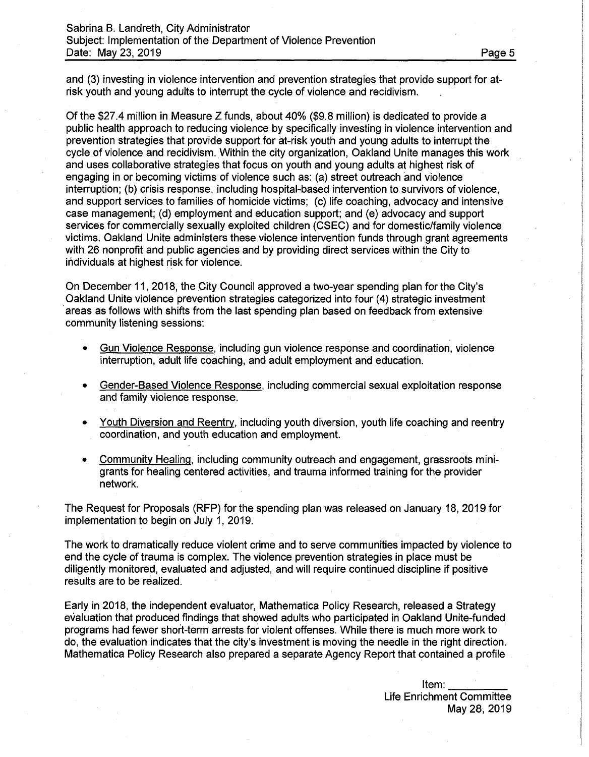and (3) investing in violence intervention and prevention strategies that provide support for atrisk youth and young adults to interrupt the cycle of violence and recidivism.

Of the \$27.4 million in Measure Z funds, about 40% (\$9.8 million) is dedicated to provide a public health approach to reducing violence by specifically investing in violence intervention and prevention strategies that provide support for at-risk youth and young adults to interrupt the cycle of violence and recidivism. Within the city organization, Oakland Unite manages this work and uses collaborative strategies that focus on youth and young adults at highest risk of engaging in or becoming victims of violence such as: (a) street outreach and violence interruption; (b) crisis response, including hospital-based intervention to survivors of violence, and support services to families of homicide victims; (c) life coaching, advocacy and intensive case management; (d) employment and education support; and (e) advocacy and support services for commercially sexually exploited children (CSEC) and for domestic/family violence victims. Oakland Unite administers these violence intervention funds through grant agreements with 26 nonprofit and public agencies and by providing direct services within the City to individuals at highest risk for violence.

On December 11,2018, the City Council approved a two-year spending plan for the City's Oakland Unite violence prevention strategies categorized into four (4) strategic investment areas as follows with shifts from the last spending plan based on feedback from extensive community listening sessions:

- Gun Violence Response, including gun violence response and coordination, violence interruption, adult life coaching, and adult employment and education.
- Gender-Based Violence Response, including commercial sexual exploitation response and family violence response.
- Youth Diversion and Reentry, including youth diversion, youth life coaching and reentry coordination, and youth education and employment.
- Community Healing, including community outreach and engagement, grassroots minigrants for healing centered activities, and trauma informed training for the provider network.

The Request for Proposals (RFP) for the spending plan was released on January 18, 2019 for implementation to begin on July 1, 2019.

The work to dramatically reduce violent crime and to serve communities impacted by violence to end the cycle of trauma is complex. The violence prevention strategies in place must be diligently monitored, evaluated and adjusted, and will require continued discipline if positive results are to be realized.

Early in 2018, the independent evaluator, Mathematica Policy Research, released a Strategy evaluation that produced findings that showed adults who participated in Oakland Unite-funded programs had fewer short-term arrests for violent offenses. While there is much more work to do, the evaluation indicates that the city's investment is moving the needle in the right direction. Mathematica Policy Research also prepared a separate Agency Report that contained a profile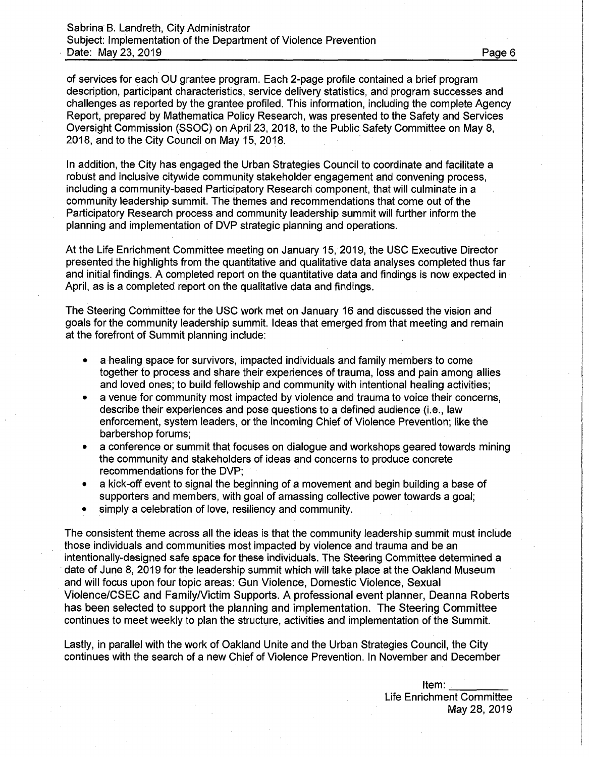of services for each OU grantee program. Each 2-page profile contained a brief program description, participant characteristics, service delivery statistics, and program successes and challenges as reported by the grantee profiled. This information, including the complete Agency Report, prepared by Mathematica Policy Research, was presented to the Safety and Services Oversight Commission (SSOC) on April 23, 2018, to the Public Safety Committee on May 8, 2018, and to the City Council on May 15, 2018.

In addition, the City has engaged the Urban Strategies Council to coordinate and facilitate a robust and inclusive citywide community stakeholder engagement and convening process, including a community-based Participatory Research component, that will culminate in a community leadership summit. The themes and recommendations that come out of the Participatory Research process and community leadership summit will further inform the planning and implementation of DVP strategic planning and operations.

At the Life Enrichment Committee meeting on January 15, 2019, the USC Executive Director presented the highlights from the quantitative and qualitative data analyses completed thus far and initial findings. A completed report on the quantitative data and findings is now expected in April, as is a completed report on the qualitative data and findings.

The Steering Committee for the USC work met on January 16 and discussed the vision and goals for the community leadership summit. Ideas that emerged from that meeting and remain at the forefront of Summit planning include:

- a healing space for survivors, impacted individuals and family members to come together to process and share their experiences of trauma, loss and pain among allies and loved ones; to build fellowship and community with intentional healing activities;
- a venue for community most impacted by violence and trauma to voice their concerns, describe their experiences and pose questions to a defined audience (i.e., law enforcement, system leaders, or the incoming Chief of Violence Prevention; like the barbershop forums;
- a conference or summit that focuses on dialogue and workshops geared towards mining the community and stakeholders of ideas and concerns to produce concrete recommendations for the DVP;
- a kick-off event to signal the beginning of a movement and begin building a base of supporters and members, with goal of amassing collective power towards a goal;
- simply a celebration of love, resiliency and community.

The consistent theme across all the ideas is that the community leadership summit must include those individuals and communities most impacted by violence and trauma and be an intentionally-designed safe space for these individuals. The Steering Committee determined a date of June 8, 2019 for the leadership summit which will take place at the Oakland Museum and will focus upon four topic areas: Gun Violence, Domestic Violence, Sexual Violence/CSEC and Family/Victim Supports. A professional event planner, Deanna Roberts has been selected to support the planning and implementation. The Steering Committee continues to meet weekly to plan the structure, activities and implementation of the Summit.

Lastly, in parallel with the work of Oakland Unite and the Urban Strategies Council, the City continues with the search of a new Chief of Violence Prevention. In November and December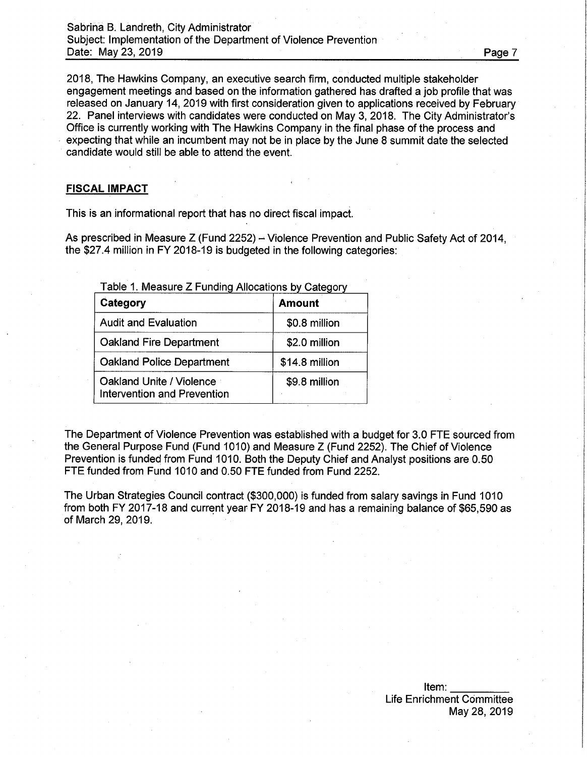Sabrina B. Landreth, City Administrator Subject: Implementation of the Department of Violence Prevention Date: May 23, 2019 **Date: May 23, 2019** 

2018, The Hawkins Company, an executive search firm, conducted multiple stakeholder engagement meetings and based on the information gathered has drafted a job profile that was released on January 14, 2019 with first consideration given to applications received by February 22. Panel interviews with candidates were conducted on May 3, 2018. The City Administrator's Office is currently working with The Hawkins Company in the final phase of the process and expecting that while an incumbent may not be in place by the June 8 summit date the selected candidate would still be able to attend the event.

## **FISCAL IMPACT**

This is an informational report that has no direct fiscal impact.

As prescribed in Measure Z (Fund 2252)  $-$  Violence Prevention and Public Safety Act of 2014, the \$27.4 million in FY 2018-19 is budgeted in the following categories:

Table 1. Measure Z Funding Allocations by Category

| Category                                                       | <b>Amount</b>  |
|----------------------------------------------------------------|----------------|
| <b>Audit and Evaluation</b>                                    | \$0.8 million  |
| <b>Oakland Fire Department</b>                                 | \$2.0 million  |
| <b>Oakland Police Department</b>                               | \$14.8 million |
| Oakland Unite / Violence<br><b>Intervention and Prevention</b> | \$9.8 million  |

The Department of Violence Prevention was established with a budget for 3.0 FTE sourced from the General Purpose Fund (Fund 1010) and Measure Z (Fund 2252). The Chief of Violence Prevention is funded from Fund 1010. Both the Deputy Chief and Analyst positions are 0.50 FTE funded from Fund 1010 and 0.50 FTE funded from Fund 2252.

The Urban Strategies Council contract (\$300,000) is funded from salary savings in Fund 1010 from both FY 2017-18 and current year FY 2018-19 and has a remaining balance of \$65,590 as of March 29, 2019.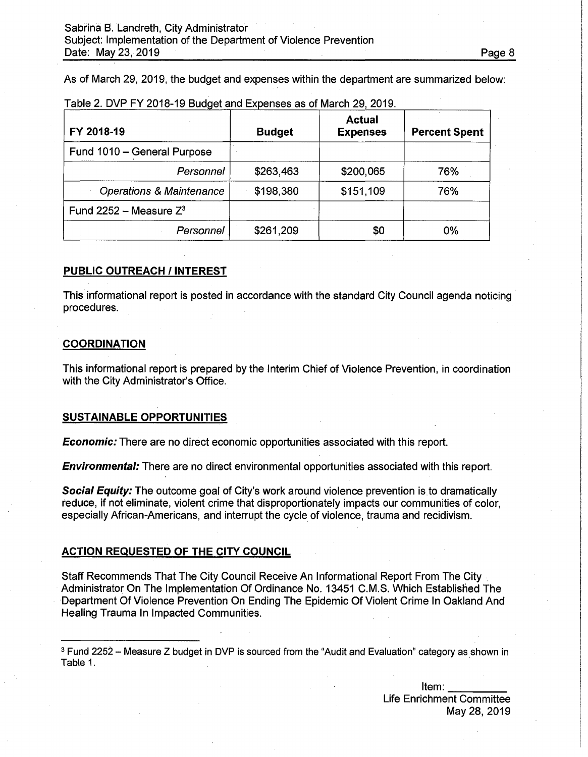As of March 29, 2019, the budget and expenses within the department are summarized below:

| FY 2018-19                          | <b>Budget</b> | <b>Actual</b><br><b>Expenses</b> | <b>Percent Spent</b> |
|-------------------------------------|---------------|----------------------------------|----------------------|
| Fund 1010 - General Purpose         |               |                                  |                      |
| Personnel                           | \$263,463     | \$200,065                        | 76%                  |
| <b>Operations &amp; Maintenance</b> | \$198,380     | \$151,109                        | 76%                  |
| Fund 2252 – Measure $Z^3$           |               |                                  |                      |
| Personnel                           | \$261,209     | \$0                              | 0%                   |

Table 2. DVP FY 2018-19 Budget and Expenses as of March 29, 2019.

#### **PUBLIC OUTREACH / INTEREST**

This informational report is posted in accordance with the standard City Council agenda noticing procedures.

#### **COORDINATION**

This informational report is prepared by the Interim Chief of Violence Prevention, in coordination with the City Administrator's Office.

#### **SUSTAINABLE OPPORTUNITIES**

*Economic:* There are no direct economic opportunities associated with this report.

*Environmental:* There are no direct environmental opportunities associated with this report.

*Social Equity:* The outcome goal of City's work around violence prevention is to dramatically reduce, if not eliminate, violent crime that disproportionately impacts our communities of color, especially African-Americans, and interrupt the cycle of violence, trauma and recidivism.

#### **ACTION REQUESTED OF THE CITY COUNCIL**

Staff Recommends That The City Council Receive An Informational Report From The City Administrator On The Implementation Of Ordinance No. 13451 C.M.S. Which Established The Department Of Violence Prevention On Ending The Epidemic Of Violent Crime In Oakland And Healing Trauma In Impacted Communities.

 $3$  Fund 2252 - Measure Z budget in DVP is sourced from the "Audit and Evaluation" category as shown in Table 1.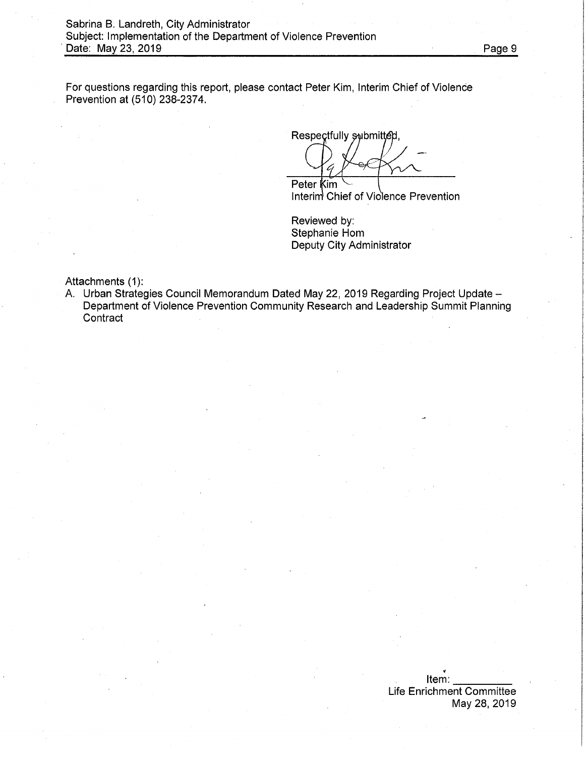For questions regarding this report, please contact Peter Kim, Interim Chief of Violence Prevention at (510) 238-2374.

Respectfully submitted,

Peter **Kim** 

Interim' Chief of Violence Prevention

Reviewed by: Stephanie Hom Deputy City Administrator

Attachments (1):

A. Urban Strategies Council Memorandum Dated May 22, 2019 Regarding Project Update -Department of Violence Prevention Community Research and Leadership Summit Planning **Contract**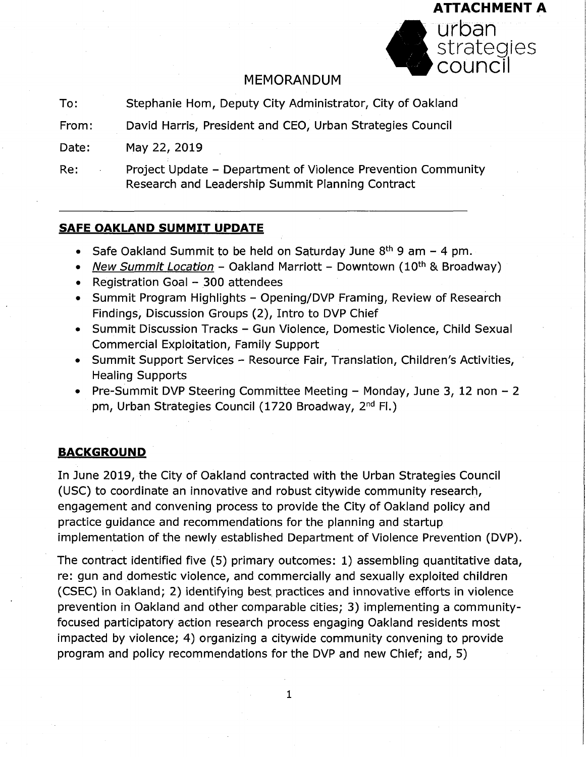

# MEMORANDUM

- Stephanie Hom, Deputy City Administrator, City of Oakland To:
- David Harris, President and CEO, Urban Strategies Council From:

May 22, 2019 Date:

Project Update - Department of Violence Prevention Community Research and Leadership Summit Planning Contract Re:

# **SAFE OAKLAND SUMMIT UPDATE**

- Safe Oakland Summit to be held on Saturday June  $8<sup>th</sup>$  9 am 4 pm.
- *New Summit Location* Oakland Marriott Downtown (10th & Broadway)
- Registration Goal 300 attendees
- Summit Program Highlights Opening/DVP Framing, Review of Research Findings, Discussion Groups (2), Intro to DVP Chief
- Summit Discussion Tracks Gun Violence, Domestic Violence, Child Sexual Commercial Exploitation, Family Support
- Summit Support Services Resource Fair, Translation, Children's Activities, Healing Supports
- Pre-Summit DVP Steering Committee Meeting Monday, June 3, 12 non 2 pm, Urban Strategies Council (1720 Broadway, 2<sup>nd</sup> Fl.)

# **BACKGROUND**

In June 2019, the City of Oakland contracted with the Urban Strategies Council (USC) to coordinate an innovative and robust citywide community research, engagement and convening process to provide the City of Oakland policy and practice guidance and recommendations for the planning and startup implementation of the newly established Department of Violence Prevention (DVP).

The contract identified five (5) primary outcomes: 1) assembling quantitative data, re: gun and domestic violence, and commercially and sexually exploited children (CSEC) in Oakland; 2) identifying best practices and innovative efforts in violence prevention in Oakland and other comparable cities; 3) implementing a communityfocused participatory action research process engaging Oakland residents most impacted by violence; 4) organizing a citywide community convening to provide program and policy recommendations for the DVP and new Chief; and, 5)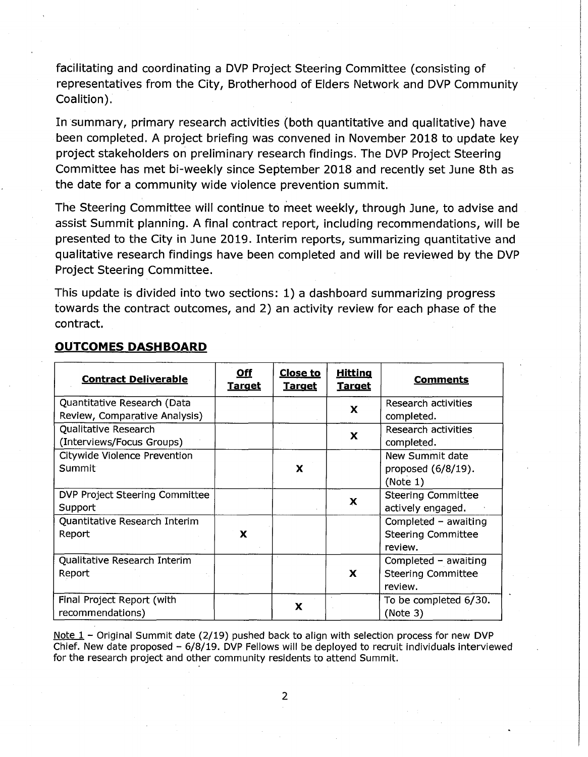facilitating and coordinating a DVP Project Steering Committee (consisting of representatives from the City, Brotherhood of Elders Network and DVP Community Coalition).

In summary, primary research activities (both quantitative and qualitative) have been completed. A project briefing was convened in November 2018 to update key project stakeholders on preliminary research findings. The DVP Project Steering Committee has met bi-weekly since September 2018 and recently set June 8th as the date for a community wide violence prevention summit.

The Steering Committee will continue to meet weekly, through June, to advise and assist Summit planning. A final contract report, including recommendations, will be presented to the City in June 2019. Interim reports, summarizing quantitative and qualitative research findings have been completed and will be reviewed by the DVP Project Steering Committee.

This update is divided into two sections: 1) a dashboard summarizing progress towards the contract outcomes, and 2) an activity review for each phase of the contract.

| <b>Contract Deliverable</b>    | <u>Off</u><br><u>Target</u> | <b>Close to</b><br><u>Target</u> | <b>Hitting</b><br><b>Target</b> | <b>Comments</b>           |
|--------------------------------|-----------------------------|----------------------------------|---------------------------------|---------------------------|
| Quantitative Research (Data    |                             |                                  | X                               | Research activities       |
| Review, Comparative Analysis)  |                             |                                  |                                 | completed.                |
| Qualitative Research           |                             |                                  | X                               | Research activities       |
| (Interviews/Focus Groups)      |                             |                                  |                                 | completed.                |
| Citywide Violence Prevention   |                             |                                  |                                 | New Summit date           |
| Summit                         |                             | X                                |                                 | proposed $(6/8/19)$ .     |
|                                |                             |                                  |                                 | (Note 1)                  |
| DVP Project Steering Committee |                             |                                  | X                               | <b>Steering Committee</b> |
| Support                        |                             |                                  |                                 | actively engaged.         |
| Quantitative Research Interim  |                             |                                  |                                 | Completed $-$ awaiting    |
| Report                         | X                           |                                  |                                 | <b>Steering Committee</b> |
|                                |                             |                                  |                                 | review.                   |
| Qualitative Research Interim   |                             |                                  |                                 | Completed $-$ awaiting    |
| Report                         |                             |                                  | $\mathbf{x}$                    | <b>Steering Committee</b> |
|                                |                             |                                  |                                 | review.                   |
| Final Project Report (with     |                             |                                  |                                 | To be completed 6/30.     |
| recommendations)               |                             | x                                |                                 | (Note 3)                  |

# **OUTCOMES DASHBOARD**

Note  $1$  - Original Summit date (2/19) pushed back to align with selection process for new DVP Chief. New date proposed  $-6/8/19$ . DVP Fellows will be deployed to recruit individuals interviewed for the research project and other community residents to attend Summit.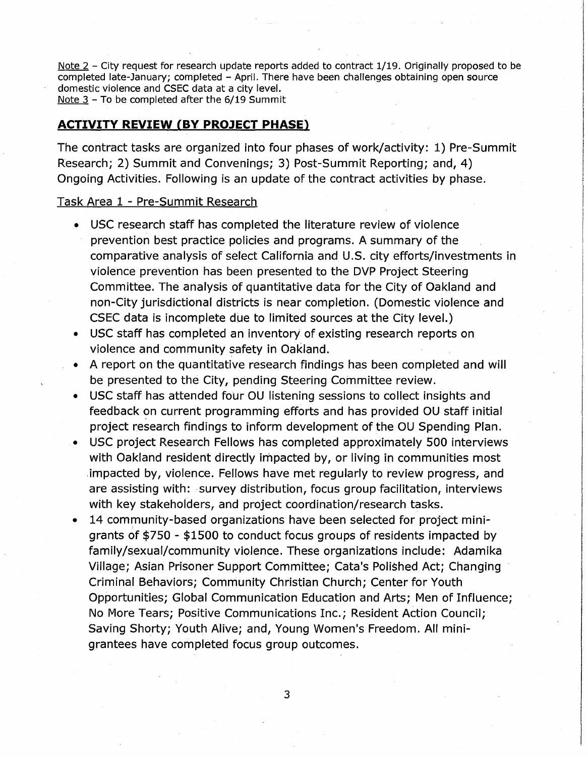Note 2 - City request for research update reports added to contract 1/19. Originally proposed to be completed late-January; completed - April. There have been challenges obtaining open source domestic violence and CSEC data at a city level. Note <sup>3</sup> - To be completed after the 6/19 Summit

# **ACTIVITY REVIEW (BY PROJECT PHASE)**

The contract tasks are organized into four phases of work/activity: 1) Pre-Summit Research; 2) Summit and Convenings; 3) Post-Summit Reporting; and, 4) Ongoing Activities. Following is an update of the contract activities by phase.

## Task Area 1 - Pre-Summit Research

- USC research staff has completed the literature review of violence prevention best practice policies and programs. A summary of the comparative analysis of select California and U.S. city efforts/investments in violence prevention has been presented to the DVP Project Steering Committee. The analysis of quantitative data for the City of Oakland and non-City jurisdictional districts is near completion. (Domestic violence and CSEC data is incomplete due to limited sources at the City level.)
- USC staff has completed an inventory of existing research reports on violence and community safety in Oakland.
- A report on the quantitative research findings has been completed and will be presented to the City, pending Steering Committee review.
- USC staff has attended four OU listening sessions to collect insights and feedback on current programming efforts and has provided OU staff initial project research findings to inform development of the OU Spending Plan.
- USC project Research Fellows has completed approximately 500 interviews with Oakland resident directly impacted by, or living in communities most impacted by, violence. Fellows have met regularly to review progress, and are assisting with: survey distribution, focus group facilitation, interviews with key stakeholders, and project coordination/research tasks.
- 14 community-based organizations have been selected for project minigrants of \$750 - \$1500 to conduct focus groups of residents impacted by family/sexual/community violence. These organizations include: Adamika Village; Asian Prisoner Support Committee; Cata's Polished Act; Changing Criminal Behaviors; Community Christian Church; Center for Youth Opportunities; Global Communication Education and Arts; Men of Influence; No More Tears; Positive Communications Inc.; Resident Action Council; Saving Shorty; Youth Alive; and, Young Women's Freedom. All minigrantees have completed focus group outcomes.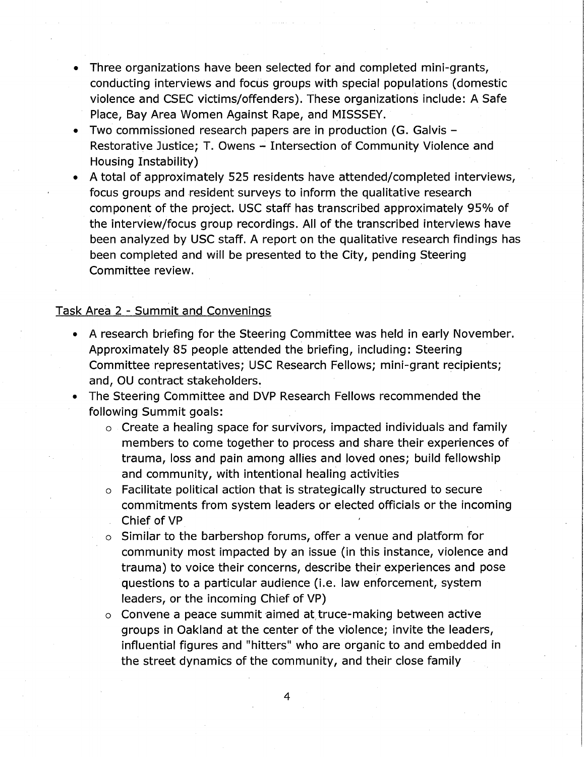- Three organizations have been selected for and completed mini-grants, conducting interviews and focus groups with special populations (domestic violence and CSEC victims/offenders). These organizations include: A Safe Place, Bay Area Women Against Rape, and MISSSEY.
- Two commissioned research papers are in production (G. Galvis Restorative Justice; T. Owens - Intersection of Community Violence and Housing Instability)
- A total of approximately 525 residents have attended/completed interviews, focus groups and resident surveys to inform the qualitative research component of the project. USC staff has transcribed approximately 95% of the interview/focus group recordings. All of the transcribed interviews have been analyzed by USC staff. A report on the qualitative research findings has been completed and will be presented to the City, pending Steering Committee review.

# Task Area 2 - Summit and Convenings

- A research briefing for the Steering Committee was held in early November. Approximately 85 people attended the briefing, including: Steering Committee representatives; USC Research Fellows; mini-grant recipients; and, OU contract stakeholders.
- The Steering Committee and DVP Research Fellows recommended the following Summit goals:
	- o Create a healing space for survivors, impacted individuals and family members to come together to process and share their experiences of trauma, loss and pain among allies and loved ones; build fellowship and community, with intentional healing activities
	- o Facilitate political action that is strategically structured to secure commitments from system leaders or elected officials or the incoming Chief of VP
	- o Similar to the barbershop forums, offer a venue and platform for community most impacted by an issue (in this instance, violence and trauma) to voice their concerns, describe their experiences and pose questions to a particular audience (i.e. law enforcement, system leaders, or the incoming Chief of VP)
	- o Convene a peace summit aimed at truce-making between active groups in Oakland at the center of the violence; invite the leaders, influential figures and "hitters" who are organic to and embedded in the street dynamics of the community, and their close family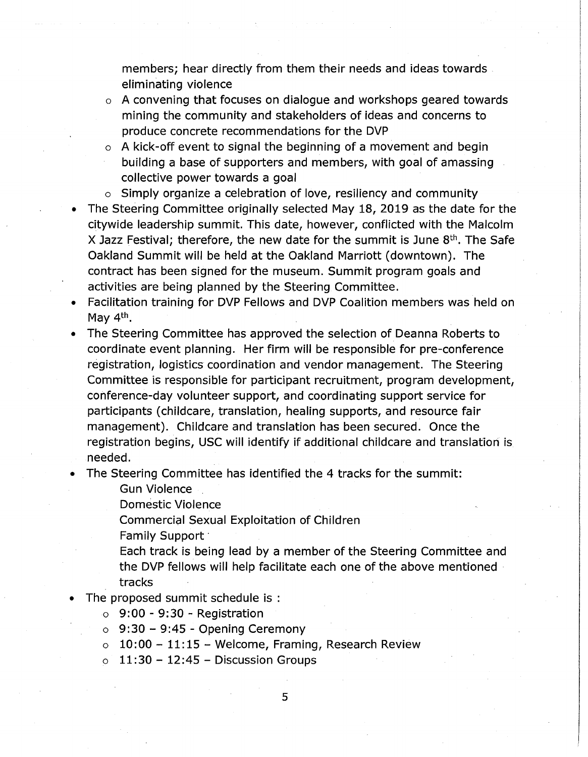members; hear directly from them their needs and ideas towards eliminating violence

- o A convening that focuses on dialogue and workshops geared towards mining the community and stakeholders of ideas and concerns to produce concrete recommendations for the DVP
- o A kick-off event to signal the beginning of a movement and begin building a base of supporters and members, with goal of amassing collective power towards a goal
- o Simply organize a celebration of love, resiliency and community
- The Steering Committee originally selected May 18, 2019 as the date for the citywide leadership summit. This date, however, conflicted with the Malcolm X Jazz Festival; therefore, the new date for the summit is June  $8<sup>th</sup>$ . The Safe Oakland Summit will be held at the Oakland Marriott (downtown). The contract has been signed for the museum. Summit program goals and activities are being planned by the Steering Committee.
- Facilitation training for DVP Fellows and DVP Coalition members was held on May 4<sup>th</sup>.
- The Steering Committee has approved the selection of Deanna Roberts to coordinate event planning. Her firm will be responsible for pre-conference registration, logistics coordination and vendor management. The Steering Committee is responsible for participant recruitment, program development, conference-day volunteer support, and coordinating support service for participants (childcare, translation, healing supports, and resource fair management). Childcare and translation has been secured. Once the registration begins, USC will identify if additional childcare and translation is needed.
- The Steering Committee has identified the 4 tracks for the summit:

Gun Violence

Domestic Violence

Commercial Sexual Exploitation of Children

Family Support

Each track is being lead by a member of the Steering Committee and the DVP fellows will help facilitate each one of the above mentioned tracks

The proposed summit schedule is :

 $\circ$  9:00 - 9:30 - Registration

- $\circ$  9:30 9:45 Opening Ceremony
- $\circ$  10:00 11:15 Welcome, Framing, Research Review
- $\circ$  11:30 12:45 Discussion Groups